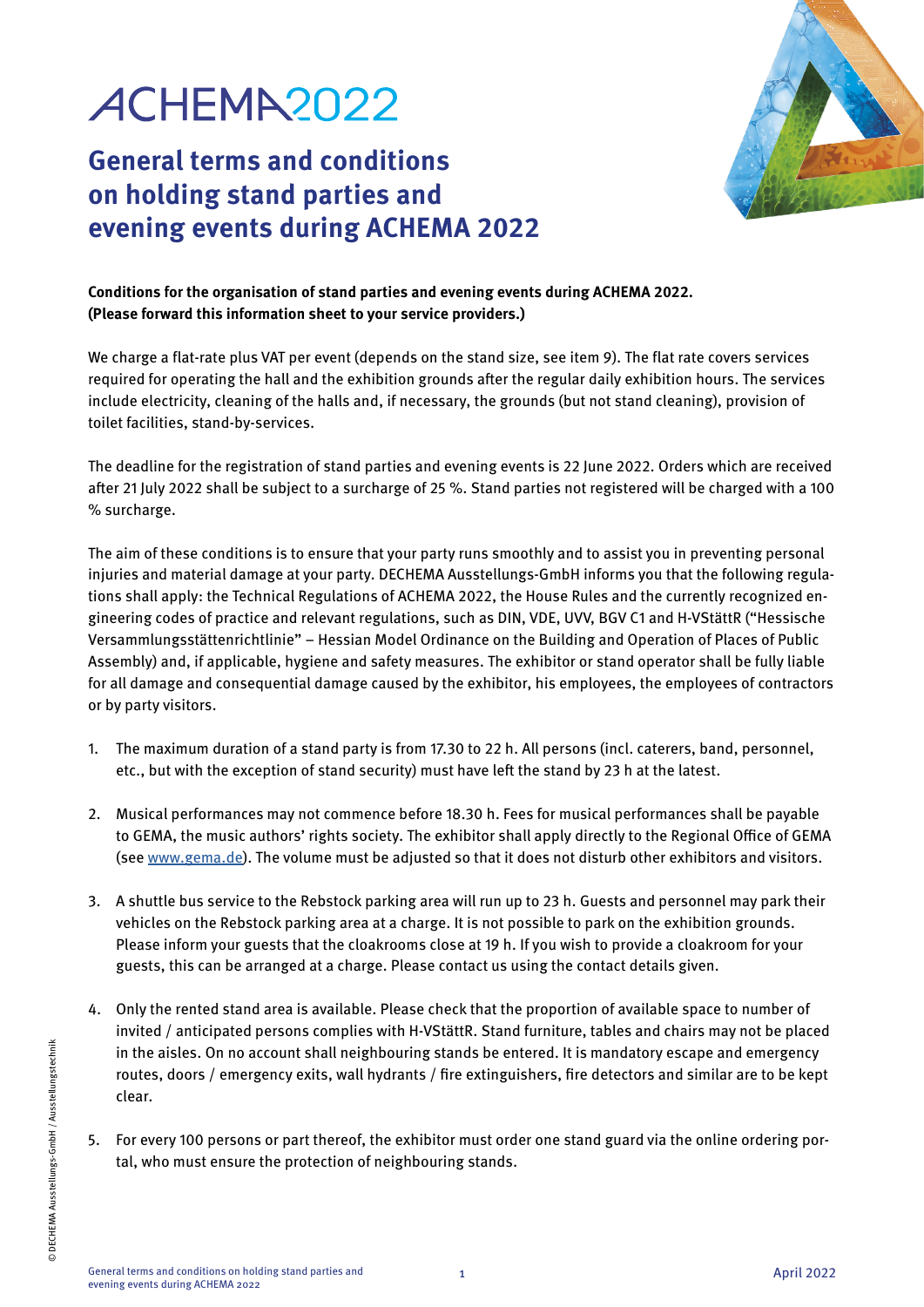# ACHEMA2022

## **General terms and conditions on holding stand parties and evening events during ACHEMA 2022**



#### **Conditions for the organisation of stand parties and evening events during ACHEMA 2022. (Please forward this information sheet to your service providers.)**

We charge a flat-rate plus VAT per event (depends on the stand size, see item 9). The flat rate covers services required for operating the hall and the exhibition grounds after the regular daily exhibition hours. The services include electricity, cleaning of the halls and, if necessary, the grounds (but not stand cleaning), provision of toilet facilities, stand-by-services.

The deadline for the registration of stand parties and evening events is 22 June 2022. Orders which are received after 21 July 2022 shall be subject to a surcharge of 25 %. Stand parties not registered will be charged with a 100 % surcharge.

The aim of these conditions is to ensure that your party runs smoothly and to assist you in preventing personal injuries and material damage at your party. DECHEMA Ausstellungs-GmbH informs you that the following regulations shall apply: the Technical Regulations of ACHEMA 2022, the House Rules and the currently recognized engineering codes of practice and relevant regulations, such as DIN, VDE, UVV, BGV C1 and H-VStättR ("Hessische Versammlungsstättenrichtlinie" – Hessian Model Ordinance on the Building and Operation of Places of Public Assembly) and, if applicable, hygiene and safety measures. The exhibitor or stand operator shall be fully liable for all damage and consequential damage caused by the exhibitor, his employees, the employees of contractors or by party visitors.

- 1. The maximum duration of a stand party is from 17.30 to 22 h. All persons (incl. caterers, band, personnel, etc., but with the exception of stand security) must have left the stand by 23 h at the latest.
- 2. Musical performances may not commence before 18.30 h. Fees for musical performances shall be payable to GEMA, the music authors' rights society. The exhibitor shall apply directly to the Regional Office of GEMA (see [www.gema.de](http://www.gema.de)). The volume must be adjusted so that it does not disturb other exhibitors and visitors.
- 3. A shuttle bus service to the Rebstock parking area will run up to 23 h. Guests and personnel may park their vehicles on the Rebstock parking area at a charge. It is not possible to park on the exhibition grounds. Please inform your guests that the cloakrooms close at 19 h. If you wish to provide a cloakroom for your guests, this can be arranged at a charge. Please contact us using the contact details given.
- 4. Only the rented stand area is available. Please check that the proportion of available space to number of invited / anticipated persons complies with H-VStättR. Stand furniture, tables and chairs may not be placed in the aisles. On no account shall neighbouring stands be entered. It is mandatory escape and emergency routes, doors / emergency exits, wall hydrants / fire extinguishers, fire detectors and similar are to be kept clear.
- 5. For every 100 persons or part thereof, the exhibitor must order one stand guard via the online ordering portal, who must ensure the protection of neighbouring stands.